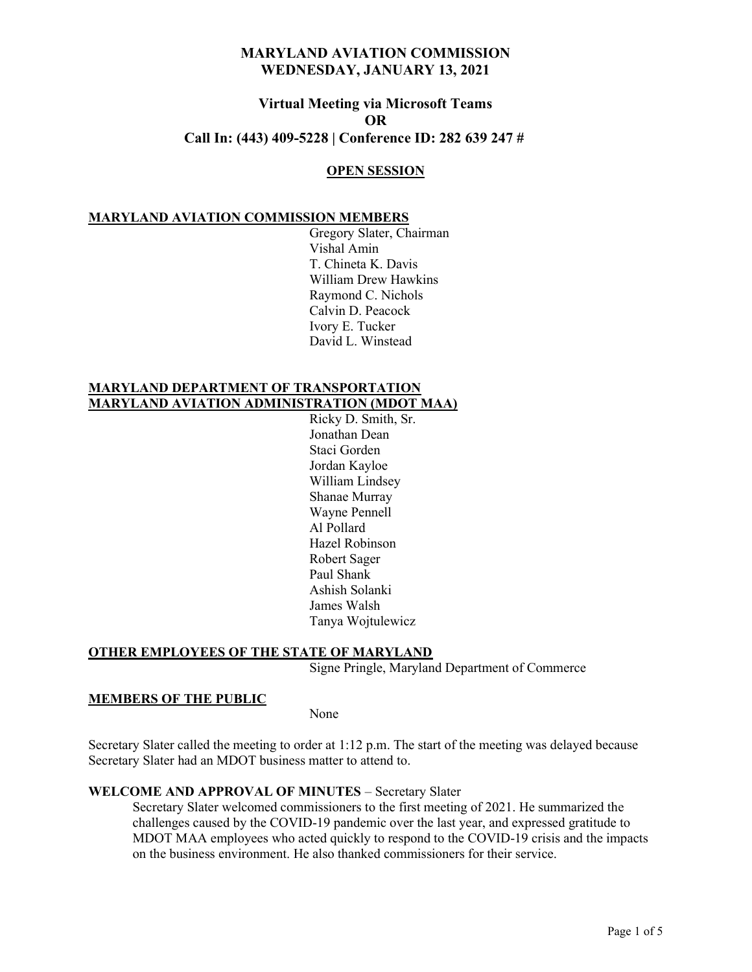# Virtual Meeting via Microsoft Teams OR Call In: (443) 409-5228 | Conference ID: 282 639 247 #

#### OPEN SESSION

### MARYLAND AVIATION COMMISSION MEMBERS

 Gregory Slater, Chairman Vishal Amin T. Chineta K. Davis William Drew Hawkins Raymond C. Nichols Calvin D. Peacock Ivory E. Tucker David L. Winstead

## MARYLAND DEPARTMENT OF TRANSPORTATION MARYLAND AVIATION ADMINISTRATION (MDOT MAA)

 Ricky D. Smith, Sr. Jonathan Dean Staci Gorden Jordan Kayloe William Lindsey Shanae Murray Wayne Pennell Al Pollard Hazel Robinson Robert Sager Paul Shank Ashish Solanki James Walsh Tanya Wojtulewicz

#### OTHER EMPLOYEES OF THE STATE OF MARYLAND

Signe Pringle, Maryland Department of Commerce

#### MEMBERS OF THE PUBLIC

None

Secretary Slater called the meeting to order at 1:12 p.m. The start of the meeting was delayed because Secretary Slater had an MDOT business matter to attend to.

#### WELCOME AND APPROVAL OF MINUTES – Secretary Slater

Secretary Slater welcomed commissioners to the first meeting of 2021. He summarized the challenges caused by the COVID-19 pandemic over the last year, and expressed gratitude to MDOT MAA employees who acted quickly to respond to the COVID-19 crisis and the impacts on the business environment. He also thanked commissioners for their service.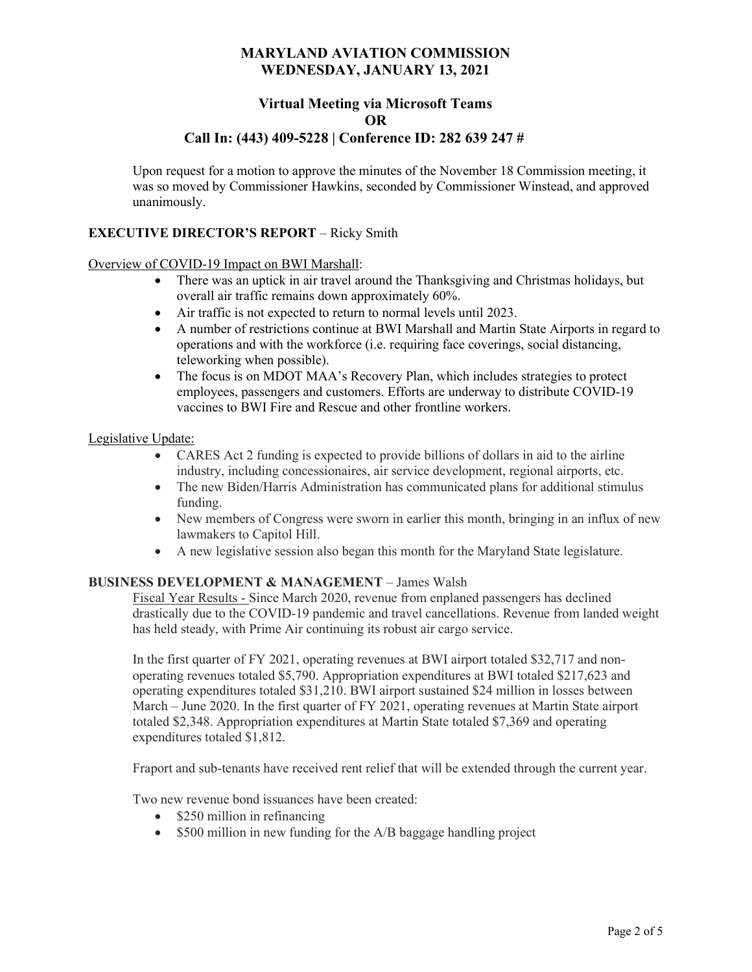# Virtual Meeting via Microsoft Teams OR

## Call In: (443) 409-5228 | Conference ID: 282 639 247 #

Upon request for a motion to approve the minutes of the November 18 Commission meeting, it was so moved by Commissioner Hawkins, seconded by Commissioner Winstead, and approved unanimously.

## EXECUTIVE DIRECTOR'S REPORT – Ricky Smith

#### Overview of COVID-19 Impact on BWI Marshall:

- There was an uptick in air travel around the Thanksgiving and Christmas holidays, but overall air traffic remains down approximately 60%.
- Air traffic is not expected to return to normal levels until 2023.
- A number of restrictions continue at BWI Marshall and Martin State Airports in regard to operations and with the workforce (i.e. requiring face coverings, social distancing, teleworking when possible).
- The focus is on MDOT MAA's Recovery Plan, which includes strategies to protect employees, passengers and customers. Efforts are underway to distribute COVID-19 vaccines to BWI Fire and Rescue and other frontline workers.

#### Legislative Update:

- CARES Act 2 funding is expected to provide billions of dollars in aid to the airline industry, including concessionaires, air service development, regional airports, etc.
- The new Biden/Harris Administration has communicated plans for additional stimulus funding.
- New members of Congress were sworn in earlier this month, bringing in an influx of new lawmakers to Capitol Hill.
- A new legislative session also began this month for the Maryland State legislature.

#### BUSINESS DEVELOPMENT & MANAGEMENT – James Walsh

Fiscal Year Results - Since March 2020, revenue from enplaned passengers has declined drastically due to the COVID-19 pandemic and travel cancellations. Revenue from landed weight has held steady, with Prime Air continuing its robust air cargo service.

In the first quarter of FY 2021, operating revenues at BWI airport totaled \$32,717 and nonoperating revenues totaled \$5,790. Appropriation expenditures at BWI totaled \$217,623 and operating expenditures totaled \$31,210. BWI airport sustained \$24 million in losses between March – June 2020. In the first quarter of FY 2021, operating revenues at Martin State airport totaled \$2,348. Appropriation expenditures at Martin State totaled \$7,369 and operating expenditures totaled \$1,812.

Fraport and sub-tenants have received rent relief that will be extended through the current year.

Two new revenue bond issuances have been created:

- \$250 million in refinancing
- $\bullet$  \$500 million in new funding for the A/B baggage handling project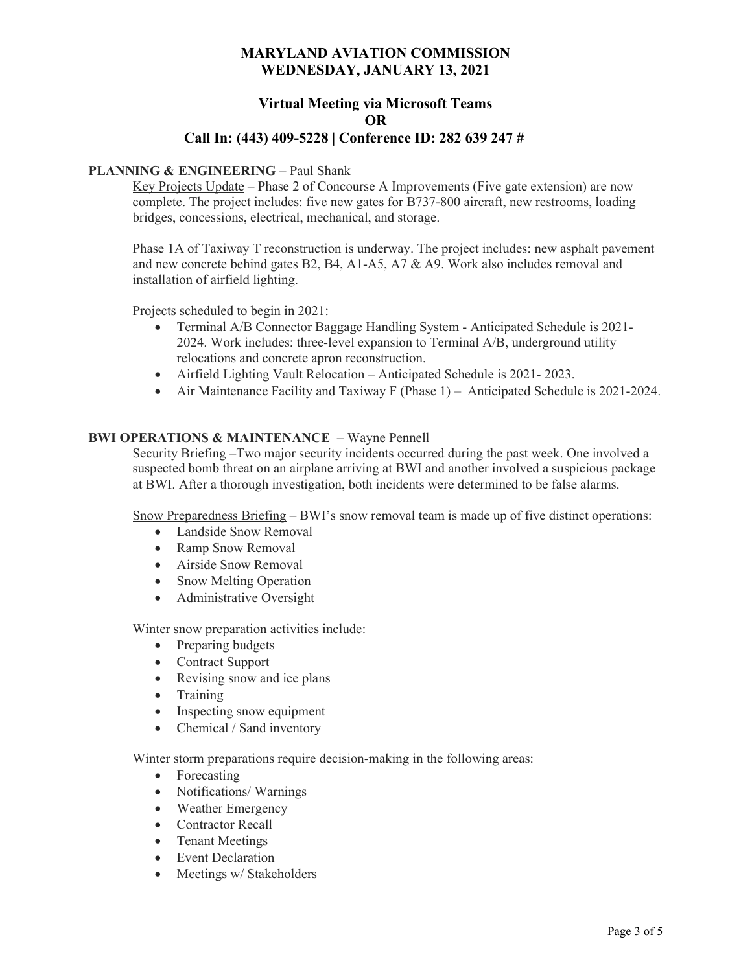# Virtual Meeting via Microsoft Teams OR

# Call In: (443) 409-5228 | Conference ID: 282 639 247 #

## PLANNING & ENGINEERING – Paul Shank

Key Projects Update – Phase 2 of Concourse A Improvements (Five gate extension) are now complete. The project includes: five new gates for B737-800 aircraft, new restrooms, loading bridges, concessions, electrical, mechanical, and storage.

Phase 1A of Taxiway T reconstruction is underway. The project includes: new asphalt pavement and new concrete behind gates B2, B4, A1-A5, A7 & A9. Work also includes removal and installation of airfield lighting.

Projects scheduled to begin in 2021:

- Terminal A/B Connector Baggage Handling System Anticipated Schedule is 2021- 2024. Work includes: three-level expansion to Terminal A/B, underground utility relocations and concrete apron reconstruction.
- Airfield Lighting Vault Relocation Anticipated Schedule is 2021- 2023.
- Air Maintenance Facility and Taxiway F (Phase 1) Anticipated Schedule is 2021-2024.

#### BWI OPERATIONS & MAINTENANCE – Wayne Pennell

Security Briefing –Two major security incidents occurred during the past week. One involved a suspected bomb threat on an airplane arriving at BWI and another involved a suspicious package at BWI. After a thorough investigation, both incidents were determined to be false alarms.

Snow Preparedness Briefing – BWI's snow removal team is made up of five distinct operations:

- Landside Snow Removal
- Ramp Snow Removal
- Airside Snow Removal
- Snow Melting Operation
- Administrative Oversight

Winter snow preparation activities include:

- Preparing budgets
- Contract Support
- Revising snow and ice plans
- Training
- Inspecting snow equipment
- Chemical / Sand inventory

Winter storm preparations require decision-making in the following areas:

- Forecasting
- Notifications/Warnings
- Weather Emergency
- Contractor Recall
- Tenant Meetings
- Event Declaration
- Meetings w/ Stakeholders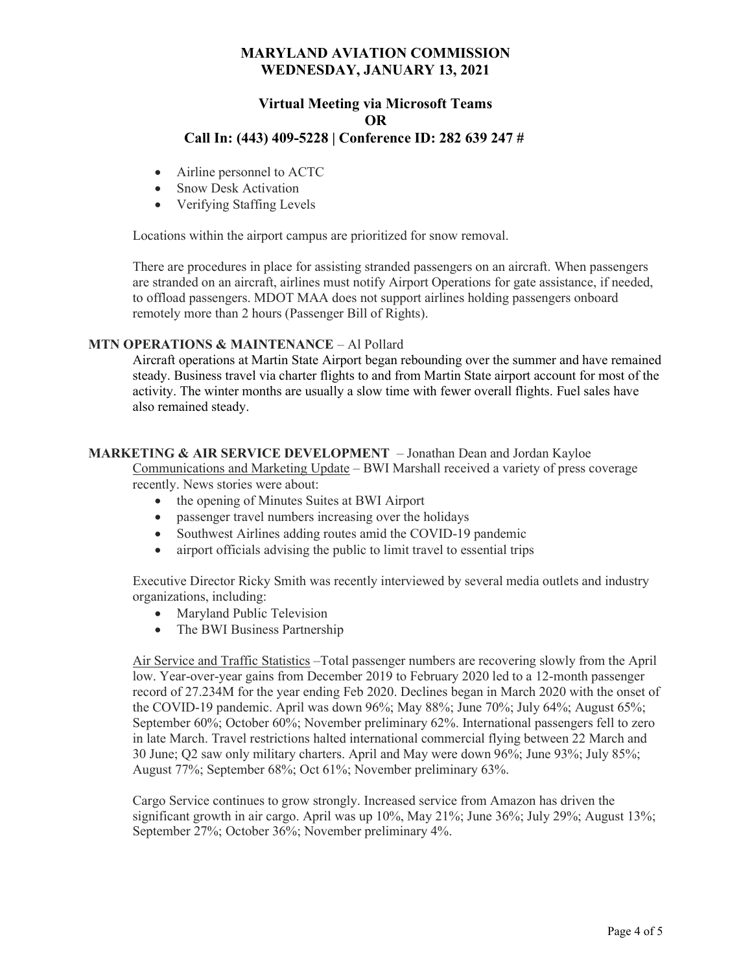## Virtual Meeting via Microsoft Teams OR Call In: (443) 409-5228 | Conference ID: 282 639 247 #

- Airline personnel to ACTC
- Snow Desk Activation
- Verifying Staffing Levels

Locations within the airport campus are prioritized for snow removal.

There are procedures in place for assisting stranded passengers on an aircraft. When passengers are stranded on an aircraft, airlines must notify Airport Operations for gate assistance, if needed, to offload passengers. MDOT MAA does not support airlines holding passengers onboard remotely more than 2 hours (Passenger Bill of Rights).

#### MTN OPERATIONS & MAINTENANCE – Al Pollard

Aircraft operations at Martin State Airport began rebounding over the summer and have remained steady. Business travel via charter flights to and from Martin State airport account for most of the activity. The winter months are usually a slow time with fewer overall flights. Fuel sales have also remained steady.

#### MARKETING & AIR SERVICE DEVELOPMENT – Jonathan Dean and Jordan Kayloe

Communications and Marketing Update – BWI Marshall received a variety of press coverage recently. News stories were about:

- the opening of Minutes Suites at BWI Airport
- passenger travel numbers increasing over the holidays
- Southwest Airlines adding routes amid the COVID-19 pandemic
- airport officials advising the public to limit travel to essential trips

Executive Director Ricky Smith was recently interviewed by several media outlets and industry organizations, including:

- Maryland Public Television
- The BWI Business Partnership

Air Service and Traffic Statistics –Total passenger numbers are recovering slowly from the April low. Year-over-year gains from December 2019 to February 2020 led to a 12-month passenger record of 27.234M for the year ending Feb 2020. Declines began in March 2020 with the onset of the COVID-19 pandemic. April was down 96%; May 88%; June 70%; July 64%; August 65%; September 60%; October 60%; November preliminary 62%. International passengers fell to zero in late March. Travel restrictions halted international commercial flying between 22 March and 30 June; Q2 saw only military charters. April and May were down 96%; June 93%; July 85%; August 77%; September 68%; Oct 61%; November preliminary 63%.

Cargo Service continues to grow strongly. Increased service from Amazon has driven the significant growth in air cargo. April was up 10%, May 21%; June 36%; July 29%; August 13%; September 27%; October 36%; November preliminary 4%.